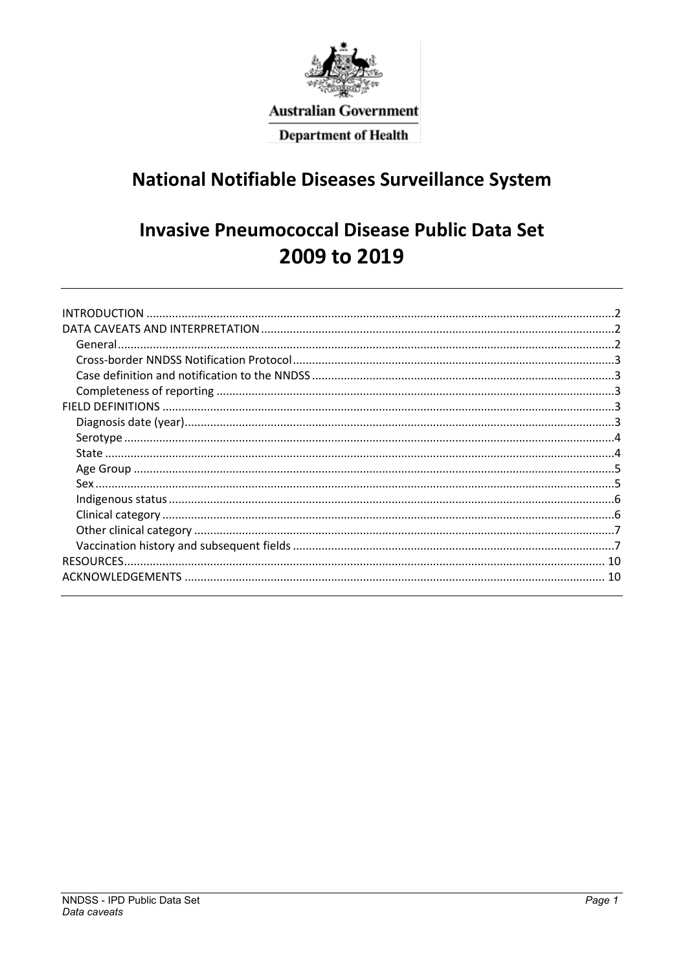

# **Australian Government**

**Department of Health** 

# **National Notifiable Diseases Surveillance System**

# **Invasive Pneumococcal Disease Public Data Set** 2009 to 2019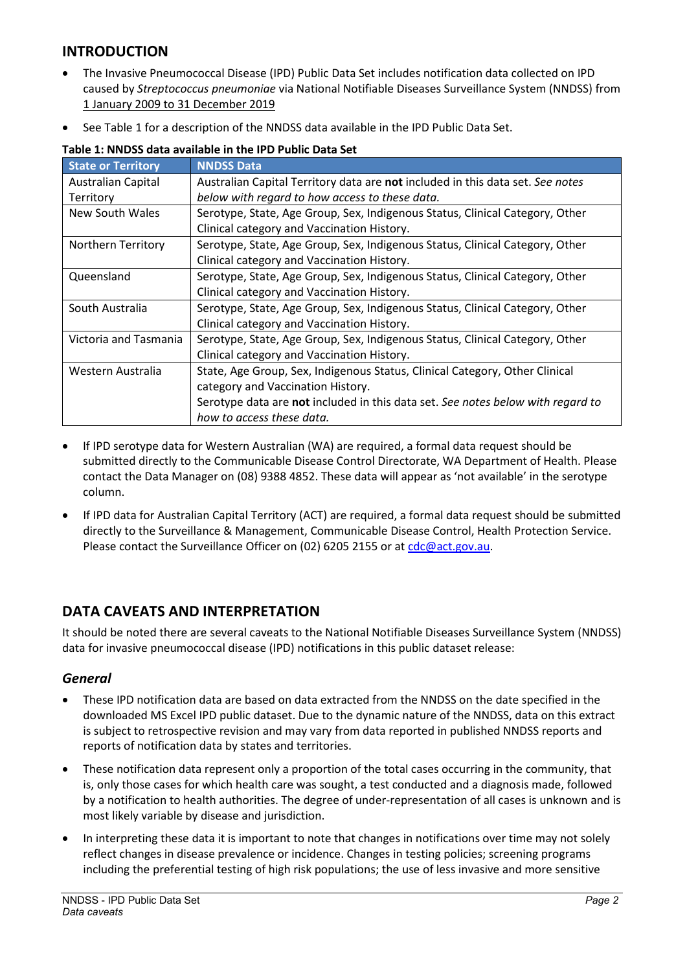# <span id="page-1-0"></span>**INTRODUCTION**

- The Invasive Pneumococcal Disease (IPD) Public Data Set includes notification data collected on IPD caused by *Streptococcus pneumoniae* via National Notifiable Diseases Surveillance System (NNDSS) from 1 January 2009 to 31 December 2019
- See Table 1 for a description of the NNDSS data available in the IPD Public Data Set.

| <b>State or Territory</b>                                                                        | <b>NNDSS Data</b>                                                               |  |  |  |
|--------------------------------------------------------------------------------------------------|---------------------------------------------------------------------------------|--|--|--|
| <b>Australian Capital</b>                                                                        | Australian Capital Territory data are not included in this data set. See notes  |  |  |  |
| Territory                                                                                        | below with regard to how access to these data.                                  |  |  |  |
| New South Wales                                                                                  | Serotype, State, Age Group, Sex, Indigenous Status, Clinical Category, Other    |  |  |  |
|                                                                                                  | Clinical category and Vaccination History.                                      |  |  |  |
| <b>Northern Territory</b>                                                                        | Serotype, State, Age Group, Sex, Indigenous Status, Clinical Category, Other    |  |  |  |
|                                                                                                  | Clinical category and Vaccination History.                                      |  |  |  |
| Queensland                                                                                       | Serotype, State, Age Group, Sex, Indigenous Status, Clinical Category, Other    |  |  |  |
|                                                                                                  | Clinical category and Vaccination History.                                      |  |  |  |
| South Australia                                                                                  | Serotype, State, Age Group, Sex, Indigenous Status, Clinical Category, Other    |  |  |  |
|                                                                                                  | Clinical category and Vaccination History.                                      |  |  |  |
| Victoria and Tasmania                                                                            | Serotype, State, Age Group, Sex, Indigenous Status, Clinical Category, Other    |  |  |  |
|                                                                                                  | Clinical category and Vaccination History.                                      |  |  |  |
| State, Age Group, Sex, Indigenous Status, Clinical Category, Other Clinical<br>Western Australia |                                                                                 |  |  |  |
|                                                                                                  | category and Vaccination History.                                               |  |  |  |
|                                                                                                  | Serotype data are not included in this data set. See notes below with regard to |  |  |  |
|                                                                                                  | how to access these data.                                                       |  |  |  |

#### **Table 1: NNDSS data available in the IPD Public Data Set**

- If IPD serotype data for Western Australian (WA) are required, a formal data request should be submitted directly to the Communicable Disease Control Directorate, WA Department of Health. Please contact the Data Manager on (08) 9388 4852. These data will appear as 'not available' in the serotype column.
- If IPD data for Australian Capital Territory (ACT) are required, a formal data request should be submitted directly to the Surveillance & Management, Communicable Disease Control, Health Protection Service. Please contact the Surveillance Officer on (02) 6205 2155 or a[t cdc@act.gov.au.](mailto:cdc@act.gov.au)

# <span id="page-1-1"></span>**DATA CAVEATS AND INTERPRETATION**

It should be noted there are several caveats to the National Notifiable Diseases Surveillance System (NNDSS) data for invasive pneumococcal disease (IPD) notifications in this public dataset release:

### <span id="page-1-2"></span>*General*

- These IPD notification data are based on data extracted from the NNDSS on the date specified in the downloaded MS Excel IPD public dataset. Due to the dynamic nature of the NNDSS, data on this extract is subject to retrospective revision and may vary from data reported in published NNDSS reports and reports of notification data by states and territories.
- These notification data represent only a proportion of the total cases occurring in the community, that is, only those cases for which health care was sought, a test conducted and a diagnosis made, followed by a notification to health authorities. The degree of under-representation of all cases is unknown and is most likely variable by disease and jurisdiction.
- In interpreting these data it is important to note that changes in notifications over time may not solely reflect changes in disease prevalence or incidence. Changes in testing policies; screening programs including the preferential testing of high risk populations; the use of less invasive and more sensitive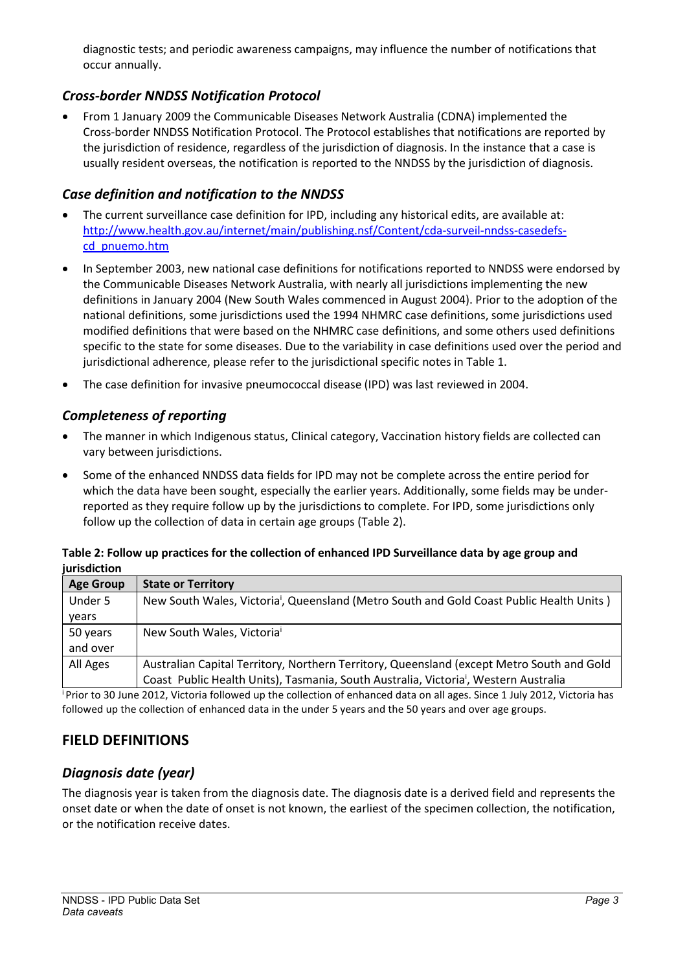diagnostic tests; and periodic awareness campaigns, may influence the number of notifications that occur annually.

## <span id="page-2-0"></span>*Cross-border NNDSS Notification Protocol*

• From 1 January 2009 the Communicable Diseases Network Australia (CDNA) implemented the Cross-border NNDSS Notification Protocol. The Protocol establishes that notifications are reported by the jurisdiction of residence, regardless of the jurisdiction of diagnosis. In the instance that a case is usually resident overseas, the notification is reported to the NNDSS by the jurisdiction of diagnosis.

## <span id="page-2-1"></span>*Case definition and notification to the NNDSS*

- The current surveillance case definition for IPD, including any historical edits, are available at: [http://www.health.gov.au/internet/main/publishing.nsf/Content/cda-surveil-nndss-casedefs](http://www.health.gov.au/internet/main/publishing.nsf/Content/cda-surveil-nndss-casedefs-cd_pnuemo.htm)[cd\\_pnuemo.htm](http://www.health.gov.au/internet/main/publishing.nsf/Content/cda-surveil-nndss-casedefs-cd_pnuemo.htm)
- In September 2003, new national case definitions for notifications reported to NNDSS were endorsed by the Communicable Diseases Network Australia, with nearly all jurisdictions implementing the new definitions in January 2004 (New South Wales commenced in August 2004). Prior to the adoption of the national definitions, some jurisdictions used the 1994 NHMRC case definitions, some jurisdictions used modified definitions that were based on the NHMRC case definitions, and some others used definitions specific to the state for some diseases. Due to the variability in case definitions used over the period and jurisdictional adherence, please refer to the jurisdictional specific notes in Table 1.
- The case definition for invasive pneumococcal disease (IPD) was last reviewed in 2004.

# <span id="page-2-2"></span>*Completeness of reporting*

- The manner in which Indigenous status, Clinical category, Vaccination history fields are collected can vary between jurisdictions.
- Some of the enhanced NNDSS data fields for IPD may not be complete across the entire period for which the data have been sought, especially the earlier years. Additionally, some fields may be underreported as they require follow up by the jurisdictions to complete. For IPD, some jurisdictions only follow up the collection of data in certain age groups (Table 2).

#### **Table 2: Follow up practices for the collection of enhanced IPD Surveillance data by age group and jurisdiction**

| <b>Age Group</b> | <b>State or Territory</b>                                                                            |
|------------------|------------------------------------------------------------------------------------------------------|
| Under 5          | New South Wales, Victoria <sup>i</sup> , Queensland (Metro South and Gold Coast Public Health Units) |
| years            |                                                                                                      |
| 50 years         | New South Wales, Victoria <sup>i</sup>                                                               |
| and over         |                                                                                                      |
| All Ages         | Australian Capital Territory, Northern Territory, Queensland (except Metro South and Gold            |
|                  | Coast Public Health Units), Tasmania, South Australia, Victoria <sup>i</sup> , Western Australia     |

i Prior to 30 June 2012, Victoria followed up the collection of enhanced data on all ages. Since 1 July 2012, Victoria has followed up the collection of enhanced data in the under 5 years and the 50 years and over age groups.

# <span id="page-2-3"></span>**FIELD DEFINITIONS**

# <span id="page-2-4"></span>*Diagnosis date (year)*

The diagnosis year is taken from the diagnosis date. The diagnosis date is a derived field and represents the onset date or when the date of onset is not known, the earliest of the specimen collection, the notification, or the notification receive dates.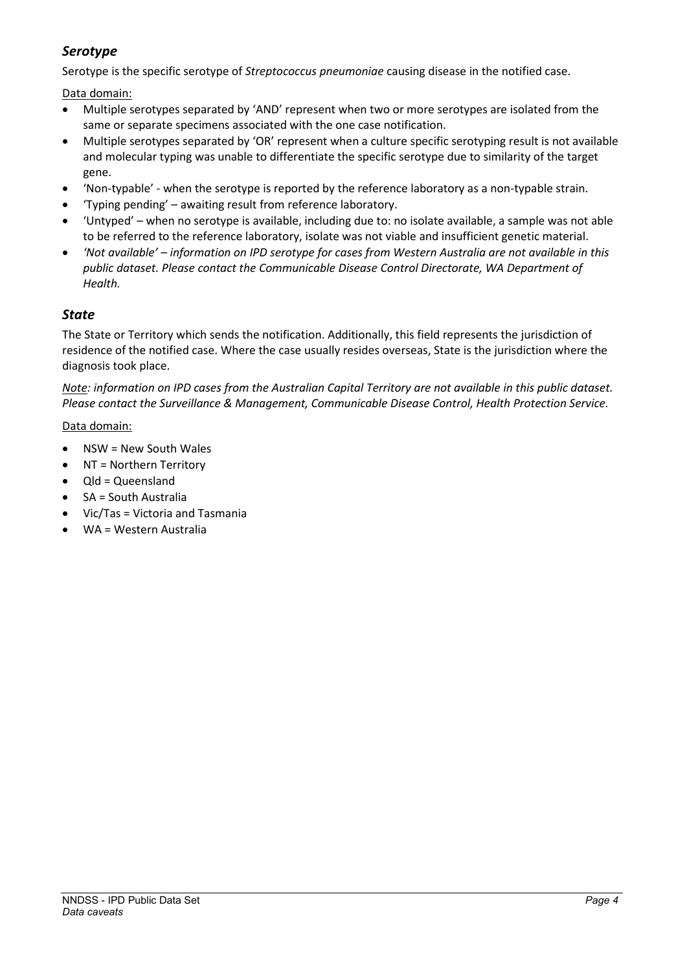# <span id="page-3-0"></span>*Serotype*

Serotype is the specific serotype of *Streptococcus pneumoniae* causing disease in the notified case.

Data domain:

- Multiple serotypes separated by 'AND' represent when two or more serotypes are isolated from the same or separate specimens associated with the one case notification.
- Multiple serotypes separated by 'OR' represent when a culture specific serotyping result is not available and molecular typing was unable to differentiate the specific serotype due to similarity of the target gene.
- 'Non-typable' when the serotype is reported by the reference laboratory as a non-typable strain.
- 'Typing pending' awaiting result from reference laboratory.
- 'Untyped' when no serotype is available, including due to: no isolate available, a sample was not able to be referred to the reference laboratory, isolate was not viable and insufficient genetic material.
- *'Not available' – information on IPD serotype for cases from Western Australia are not available in this public dataset. Please contact the Communicable Disease Control Directorate, WA Department of Health.*

## <span id="page-3-1"></span>*State*

The State or Territory which sends the notification. Additionally, this field represents the jurisdiction of residence of the notified case. Where the case usually resides overseas, State is the jurisdiction where the diagnosis took place.

*Note: information on IPD cases from the Australian Capital Territory are not available in this public dataset. Please contact the Surveillance & Management, Communicable Disease Control, Health Protection Service.*

#### Data domain:

- NSW = New South Wales
- NT = Northern Territory
- Qld = Queensland
- SA = South Australia
- Vic/Tas = Victoria and Tasmania
- WA = Western Australia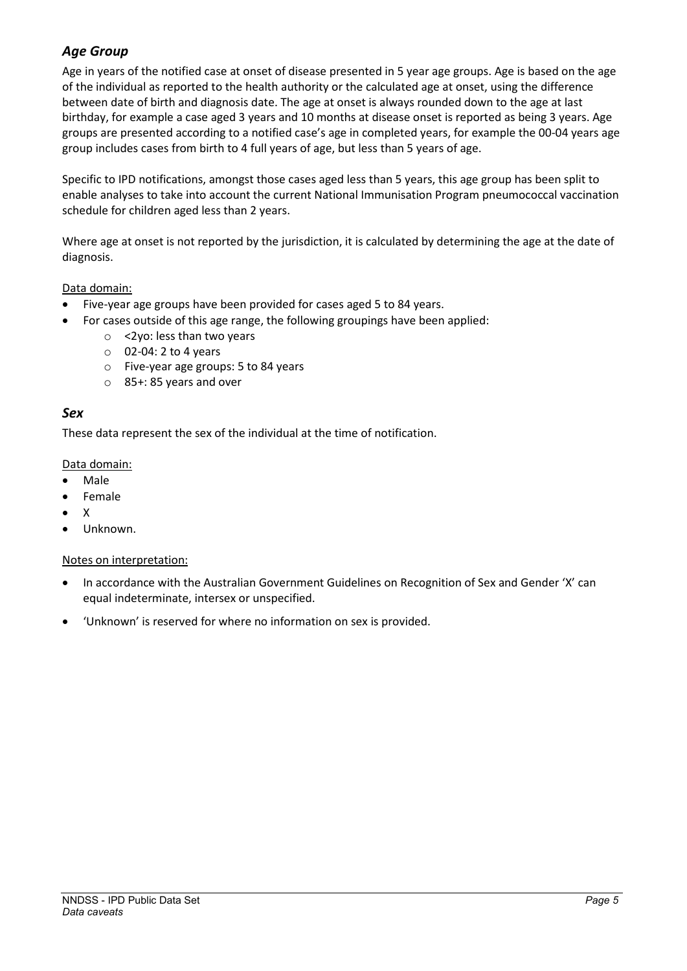# <span id="page-4-0"></span>*Age Group*

Age in years of the notified case at onset of disease presented in 5 year age groups. Age is based on the age of the individual as reported to the health authority or the calculated age at onset, using the difference between date of birth and diagnosis date. The age at onset is always rounded down to the age at last birthday, for example a case aged 3 years and 10 months at disease onset is reported as being 3 years. Age groups are presented according to a notified case's age in completed years, for example the 00-04 years age group includes cases from birth to 4 full years of age, but less than 5 years of age.

Specific to IPD notifications, amongst those cases aged less than 5 years, this age group has been split to enable analyses to take into account the current National Immunisation Program pneumococcal vaccination schedule for children aged less than 2 years.

Where age at onset is not reported by the jurisdiction, it is calculated by determining the age at the date of diagnosis.

#### Data domain:

- Five-year age groups have been provided for cases aged 5 to 84 years.
	- For cases outside of this age range, the following groupings have been applied:
		- o <2yo: less than two years
		- o 02-04: 2 to 4 years
		- o Five-year age groups: 5 to 84 years
		- o 85+: 85 years and over

#### <span id="page-4-1"></span>*Sex*

These data represent the sex of the individual at the time of notification.

#### Data domain:

- Male
- Female
- X
- Unknown.

#### Notes on interpretation:

- In accordance with the Australian Government Guidelines on Recognition of Sex and Gender 'X' can equal indeterminate, intersex or unspecified.
- 'Unknown' is reserved for where no information on sex is provided.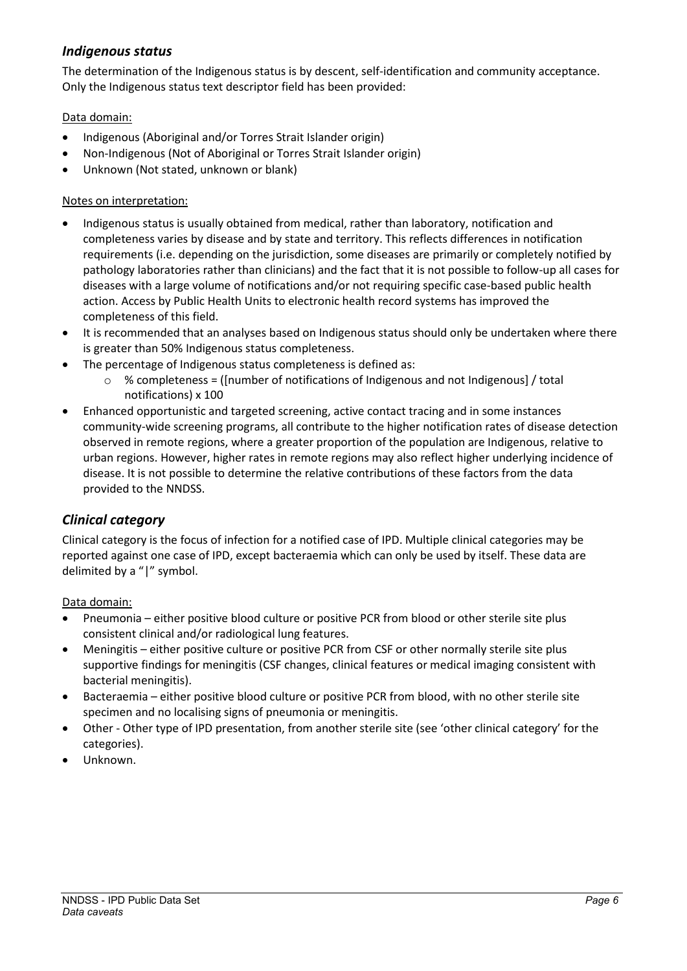### <span id="page-5-0"></span>*Indigenous status*

The determination of the Indigenous status is by descent, self-identification and community acceptance. Only the Indigenous status text descriptor field has been provided:

#### Data domain:

- Indigenous (Aboriginal and/or Torres Strait Islander origin)
- Non-Indigenous (Not of Aboriginal or Torres Strait Islander origin)
- Unknown (Not stated, unknown or blank)

#### Notes on interpretation:

- Indigenous status is usually obtained from medical, rather than laboratory, notification and completeness varies by disease and by state and territory. This reflects differences in notification requirements (i.e. depending on the jurisdiction, some diseases are primarily or completely notified by pathology laboratories rather than clinicians) and the fact that it is not possible to follow-up all cases for diseases with a large volume of notifications and/or not requiring specific case-based public health action. Access by Public Health Units to electronic health record systems has improved the completeness of this field.
- It is recommended that an analyses based on Indigenous status should only be undertaken where there is greater than 50% Indigenous status completeness.
- The percentage of Indigenous status completeness is defined as:
	- $\circ$  % completeness = ([number of notifications of Indigenous and not Indigenous] / total notifications) x 100
- Enhanced opportunistic and targeted screening, active contact tracing and in some instances community-wide screening programs, all contribute to the higher notification rates of disease detection observed in remote regions, where a greater proportion of the population are Indigenous, relative to urban regions. However, higher rates in remote regions may also reflect higher underlying incidence of disease. It is not possible to determine the relative contributions of these factors from the data provided to the NNDSS.

### <span id="page-5-1"></span>*Clinical category*

Clinical category is the focus of infection for a notified case of IPD. Multiple clinical categories may be reported against one case of IPD, except bacteraemia which can only be used by itself. These data are delimited by a "|" symbol.

#### Data domain:

- Pneumonia either positive blood culture or positive PCR from blood or other sterile site plus consistent clinical and/or radiological lung features.
- Meningitis either positive culture or positive PCR from CSF or other normally sterile site plus supportive findings for meningitis (CSF changes, clinical features or medical imaging consistent with bacterial meningitis).
- Bacteraemia either positive blood culture or positive PCR from blood, with no other sterile site specimen and no localising signs of pneumonia or meningitis.
- Other Other type of IPD presentation, from another sterile site (see 'other clinical category' for the categories).
- Unknown.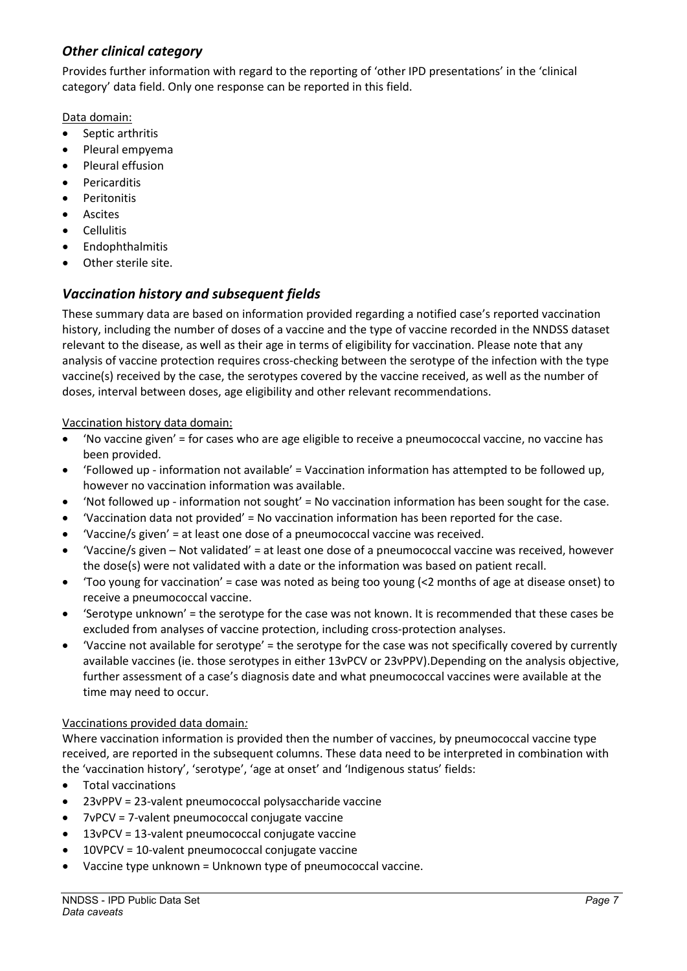# <span id="page-6-0"></span>*Other clinical category*

Provides further information with regard to the reporting of 'other IPD presentations' in the 'clinical category' data field. Only one response can be reported in this field.

Data domain:

- Septic arthritis
- Pleural empyema
- Pleural effusion
- **Pericarditis**
- Peritonitis
- **Ascites**
- Cellulitis
- **Endophthalmitis**
- Other sterile site.

# <span id="page-6-1"></span>*Vaccination history and subsequent fields*

These summary data are based on information provided regarding a notified case's reported vaccination history, including the number of doses of a vaccine and the type of vaccine recorded in the NNDSS dataset relevant to the disease, as well as their age in terms of eligibility for vaccination. Please note that any analysis of vaccine protection requires cross-checking between the serotype of the infection with the type vaccine(s) received by the case, the serotypes covered by the vaccine received, as well as the number of doses, interval between doses, age eligibility and other relevant recommendations.

#### Vaccination history data domain:

- 'No vaccine given' = for cases who are age eligible to receive a pneumococcal vaccine, no vaccine has been provided.
- 'Followed up information not available' = Vaccination information has attempted to be followed up, however no vaccination information was available.
- 'Not followed up information not sought' = No vaccination information has been sought for the case.
- 'Vaccination data not provided' = No vaccination information has been reported for the case.
- 'Vaccine/s given' = at least one dose of a pneumococcal vaccine was received.
- 'Vaccine/s given Not validated' = at least one dose of a pneumococcal vaccine was received, however the dose(s) were not validated with a date or the information was based on patient recall.
- 'Too young for vaccination' = case was noted as being too young (<2 months of age at disease onset) to receive a pneumococcal vaccine.
- 'Serotype unknown' = the serotype for the case was not known. It is recommended that these cases be excluded from analyses of vaccine protection, including cross-protection analyses.
- 'Vaccine not available for serotype' = the serotype for the case was not specifically covered by currently available vaccines (ie. those serotypes in either 13vPCV or 23vPPV).Depending on the analysis objective, further assessment of a case's diagnosis date and what pneumococcal vaccines were available at the time may need to occur.

#### Vaccinations provided data domain*:*

Where vaccination information is provided then the number of vaccines, by pneumococcal vaccine type received, are reported in the subsequent columns. These data need to be interpreted in combination with the 'vaccination history', 'serotype', 'age at onset' and 'Indigenous status' fields:

- Total vaccinations
- 23vPPV = 23-valent pneumococcal polysaccharide vaccine
- 7vPCV = 7-valent pneumococcal conjugate vaccine
- 13vPCV = 13-valent pneumococcal conjugate vaccine
- 10VPCV = 10-valent pneumococcal conjugate vaccine
- Vaccine type unknown = Unknown type of pneumococcal vaccine.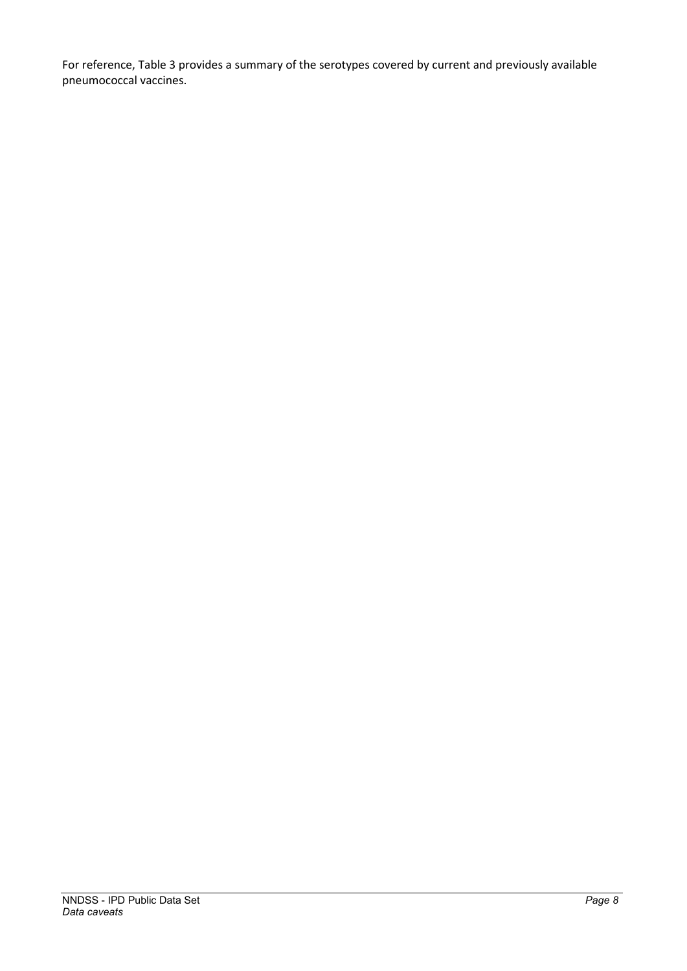For reference, [Table 3](#page-8-0) provides a summary of the serotypes covered by current and previously available pneumococcal vaccines.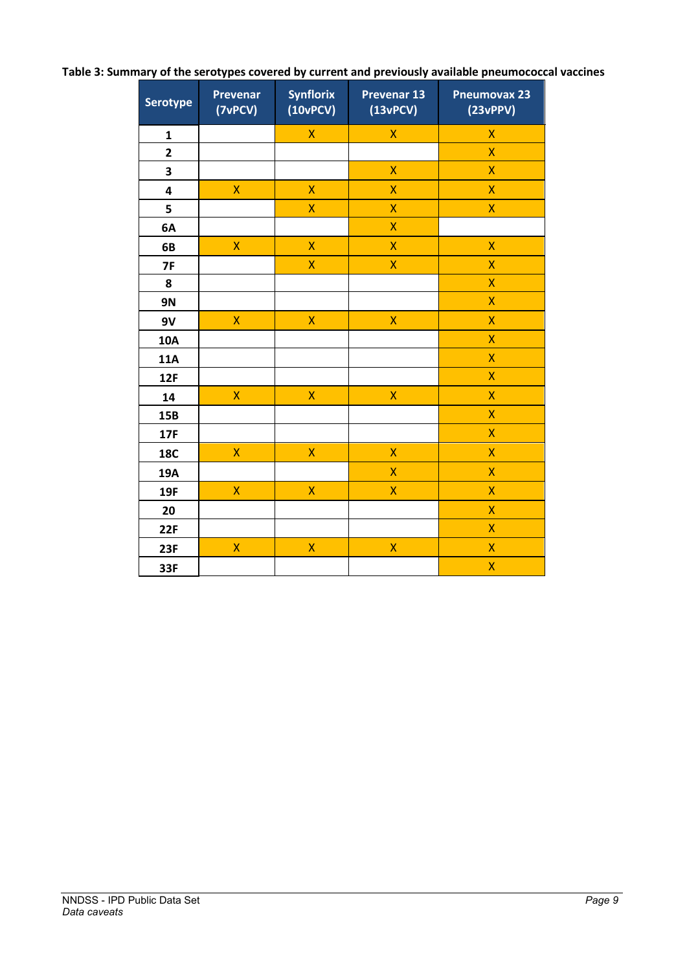| <b>Serotype</b>         | <b>Prevenar</b><br>(7vPCV) | <b>Synflorix</b><br>(10vPCV) | <b>Prevenar 13</b><br>(13vPCV) | <b>Pneumovax 23</b><br>(23vPPV) |
|-------------------------|----------------------------|------------------------------|--------------------------------|---------------------------------|
| $\mathbf{1}$            |                            | X                            | X                              | X                               |
| $\overline{\mathbf{c}}$ |                            |                              |                                | X                               |
| 3                       |                            |                              | X                              | $\overline{\mathsf{X}}$         |
| 4                       | X                          | $\overline{\mathsf{X}}$      | X                              | X                               |
| 5                       |                            | X                            | X                              | $\overline{\mathsf{X}}$         |
| 6A                      |                            |                              | X                              |                                 |
| 6B                      | $\overline{\mathsf{X}}$    | X                            | X                              | $\overline{\mathsf{X}}$         |
| 7F                      |                            | X                            | X                              | X                               |
| 8                       |                            |                              |                                | X                               |
| <b>9N</b>               |                            |                              |                                | $\overline{\mathsf{X}}$         |
| 9V                      | $\overline{\mathsf{X}}$    | X                            | X                              | $\overline{X}$                  |
| 10A                     |                            |                              |                                | $\overline{\mathsf{X}}$         |
| <b>11A</b>              |                            |                              |                                | X                               |
| <b>12F</b>              |                            |                              |                                | $\overline{\mathsf{X}}$         |
| 14                      | $\overline{\mathsf{X}}$    | $\overline{\mathsf{X}}$      | $\overline{\mathsf{X}}$        | $\overline{\mathsf{X}}$         |
| 15B                     |                            |                              |                                | X                               |
| 17F                     |                            |                              |                                | $\overline{\mathsf{X}}$         |
| <b>18C</b>              | $\mathsf{X}$               | $\mathsf{X}$                 | X                              | X                               |
| 19A                     |                            |                              | X                              | X                               |
| 19F                     | $\mathsf{\overline{X}}$    | $\overline{\mathsf{X}}$      | X                              | X                               |
| 20                      |                            |                              |                                | X                               |
| 22F                     |                            |                              |                                | X                               |
| <b>23F</b>              | $\overline{\mathsf{X}}$    | X                            | X                              | X                               |
| 33F                     |                            |                              |                                | X                               |

# <span id="page-8-0"></span>**Table 3: Summary of the serotypes covered by current and previously available pneumococcal vaccines**